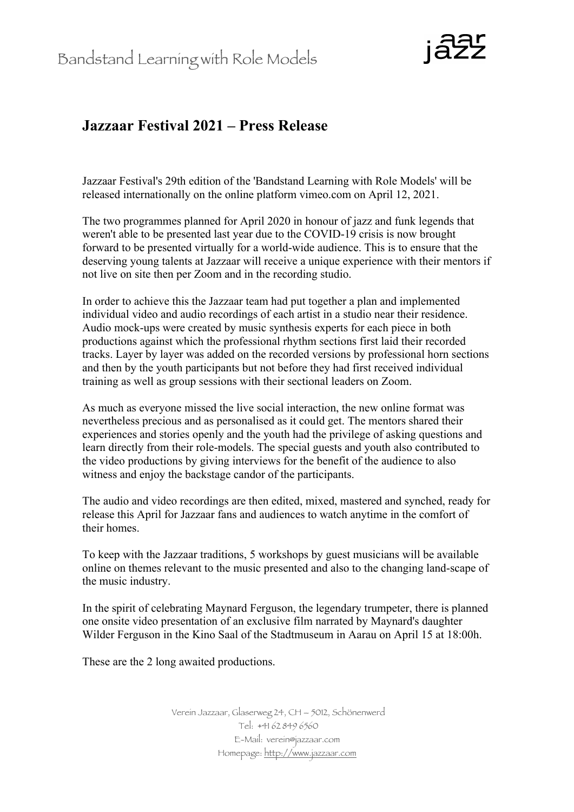

## **Jazzaar Festival 2021 – Press Release**

Jazzaar Festival's 29th edition of the 'Bandstand Learning with Role Models' will be released internationally on the online platform vimeo.com on April 12, 2021.

The two programmes planned for April 2020 in honour of jazz and funk legends that weren't able to be presented last year due to the COVID-19 crisis is now brought forward to be presented virtually for a world-wide audience. This is to ensure that the deserving young talents at Jazzaar will receive a unique experience with their mentors if not live on site then per Zoom and in the recording studio.

In order to achieve this the Jazzaar team had put together a plan and implemented individual video and audio recordings of each artist in a studio near their residence. Audio mock-ups were created by music synthesis experts for each piece in both productions against which the professional rhythm sections first laid their recorded tracks. Layer by layer was added on the recorded versions by professional horn sections and then by the youth participants but not before they had first received individual training as well as group sessions with their sectional leaders on Zoom.

As much as everyone missed the live social interaction, the new online format was nevertheless precious and as personalised as it could get. The mentors shared their experiences and stories openly and the youth had the privilege of asking questions and learn directly from their role-models. The special guests and youth also contributed to the video productions by giving interviews for the benefit of the audience to also witness and enjoy the backstage candor of the participants.

The audio and video recordings are then edited, mixed, mastered and synched, ready for release this April for Jazzaar fans and audiences to watch anytime in the comfort of their homes.

To keep with the Jazzaar traditions, 5 workshops by guest musicians will be available online on themes relevant to the music presented and also to the changing land-scape of the music industry.

In the spirit of celebrating Maynard Ferguson, the legendary trumpeter, there is planned one onsite video presentation of an exclusive film narrated by Maynard's daughter Wilder Ferguson in the Kino Saal of the Stadtmuseum in Aarau on April 15 at 18:00h.

These are the 2 long awaited productions.

Verein Jazzaar, Glaserweg 24, CH – 5012, Schönenwerd Tel: +41 62 849 6560 E-Mail: verein@jazzaar.com Homepage: http://www.jazzaar.com